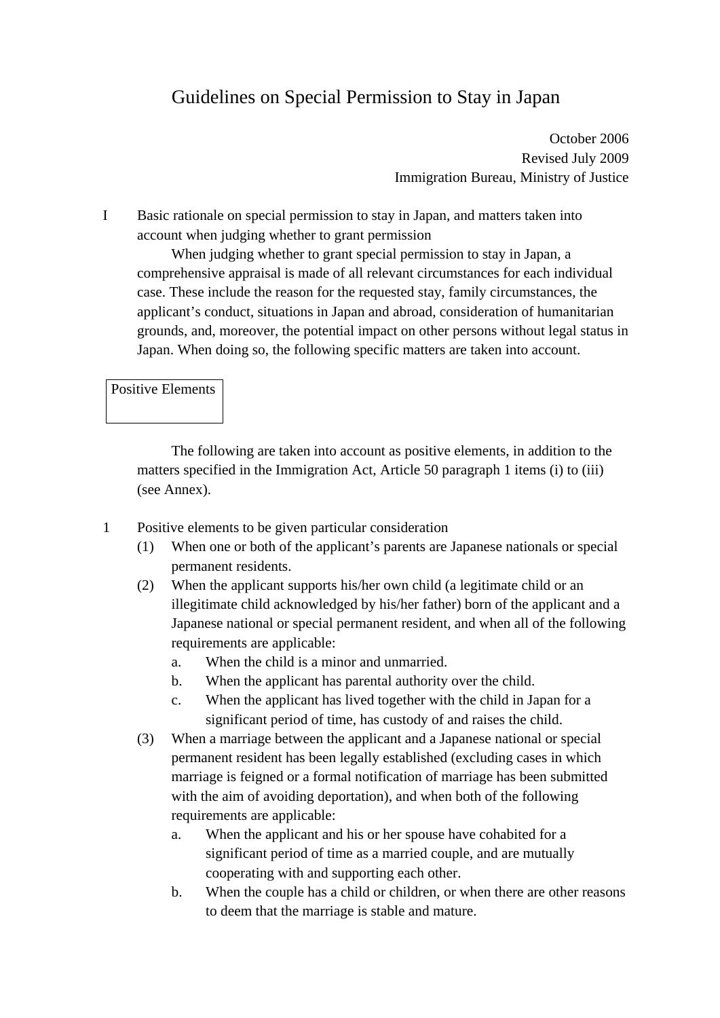# Guidelines on Special Permission to Stay in Japan

October 2006 Revised July 2009 Immigration Bureau, Ministry of Justice

I Basic rationale on special permission to stay in Japan, and matters taken into account when judging whether to grant permission

When judging whether to grant special permission to stay in Japan, a comprehensive appraisal is made of all relevant circumstances for each individual case. These include the reason for the requested stay, family circumstances, the applicant's conduct, situations in Japan and abroad, consideration of humanitarian grounds, and, moreover, the potential impact on other persons without legal status in Japan. When doing so, the following specific matters are taken into account.

#### Positive Elements

The following are taken into account as positive elements, in addition to the matters specified in the Immigration Act, Article 50 paragraph 1 items (i) to (iii) (see Annex).

- 1 Positive elements to be given particular consideration
	- (1) When one or both of the applicant's parents are Japanese nationals or special permanent residents.
	- (2) When the applicant supports his/her own child (a legitimate child or an illegitimate child acknowledged by his/her father) born of the applicant and a Japanese national or special permanent resident, and when all of the following requirements are applicable:
		- a. When the child is a minor and unmarried.
		- b. When the applicant has parental authority over the child.
		- c. When the applicant has lived together with the child in Japan for a significant period of time, has custody of and raises the child.
	- (3) When a marriage between the applicant and a Japanese national or special permanent resident has been legally established (excluding cases in which marriage is feigned or a formal notification of marriage has been submitted with the aim of avoiding deportation), and when both of the following requirements are applicable:
		- a. When the applicant and his or her spouse have cohabited for a significant period of time as a married couple, and are mutually cooperating with and supporting each other.
		- b. When the couple has a child or children, or when there are other reasons to deem that the marriage is stable and mature.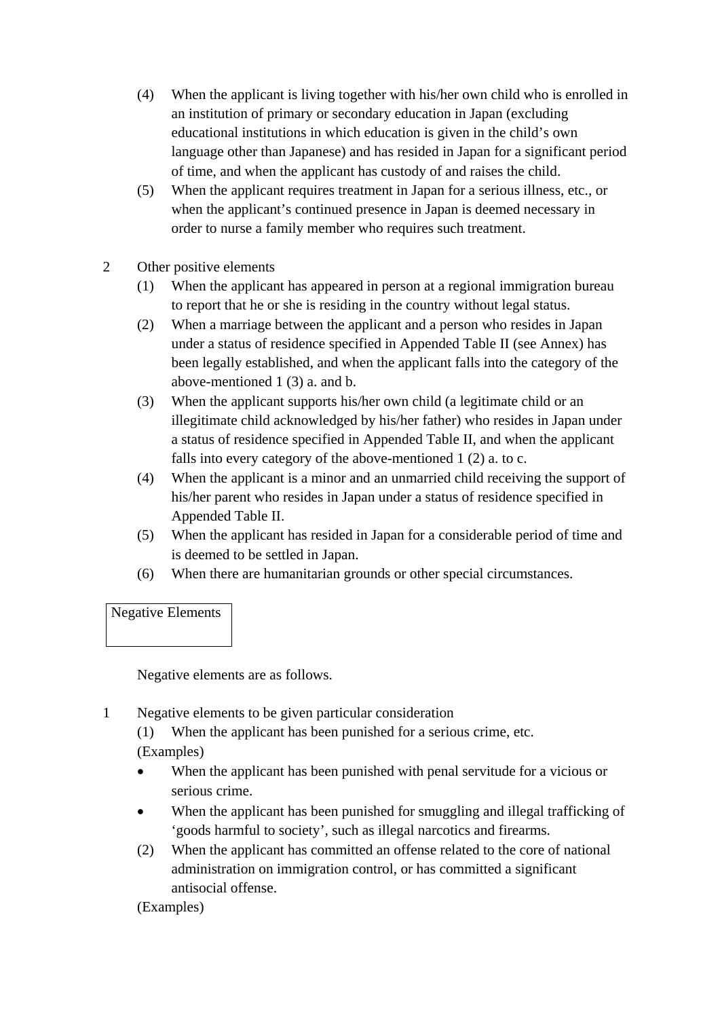- (4) When the applicant is living together with his/her own child who is enrolled in an institution of primary or secondary education in Japan (excluding educational institutions in which education is given in the child's own language other than Japanese) and has resided in Japan for a significant period of time, and when the applicant has custody of and raises the child.
- (5) When the applicant requires treatment in Japan for a serious illness, etc., or when the applicant's continued presence in Japan is deemed necessary in order to nurse a family member who requires such treatment.
- 2 Other positive elements
	- (1) When the applicant has appeared in person at a regional immigration bureau to report that he or she is residing in the country without legal status.
	- (2) When a marriage between the applicant and a person who resides in Japan under a status of residence specified in Appended Table II (see Annex) has been legally established, and when the applicant falls into the category of the above-mentioned 1 (3) a. and b.
	- (3) When the applicant supports his/her own child (a legitimate child or an illegitimate child acknowledged by his/her father) who resides in Japan under a status of residence specified in Appended Table II, and when the applicant falls into every category of the above-mentioned 1 (2) a. to c.
	- (4) When the applicant is a minor and an unmarried child receiving the support of his/her parent who resides in Japan under a status of residence specified in Appended Table II.
	- (5) When the applicant has resided in Japan for a considerable period of time and is deemed to be settled in Japan.
	- (6) When there are humanitarian grounds or other special circumstances.

## Negative Elements

Negative elements are as follows.

1 Negative elements to be given particular consideration

(1) When the applicant has been punished for a serious crime, etc. (Examples)

- When the applicant has been punished with penal servitude for a vicious or serious crime.
- When the applicant has been punished for smuggling and illegal trafficking of 'goods harmful to society', such as illegal narcotics and firearms.
- (2) When the applicant has committed an offense related to the core of national administration on immigration control, or has committed a significant antisocial offense.

(Examples)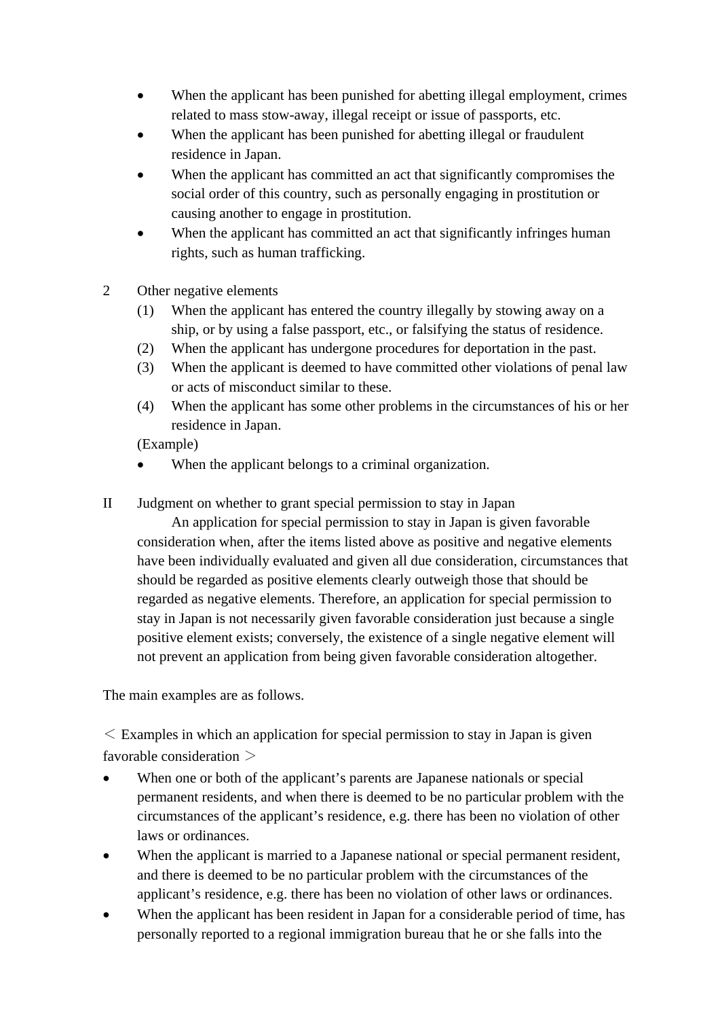- When the applicant has been punished for abetting illegal employment, crimes related to mass stow-away, illegal receipt or issue of passports, etc.
- When the applicant has been punished for abetting illegal or fraudulent residence in Japan.
- When the applicant has committed an act that significantly compromises the social order of this country, such as personally engaging in prostitution or causing another to engage in prostitution.
- When the applicant has committed an act that significantly infringes human rights, such as human trafficking.
- 2 Other negative elements
	- (1) When the applicant has entered the country illegally by stowing away on a ship, or by using a false passport, etc., or falsifying the status of residence.
	- (2) When the applicant has undergone procedures for deportation in the past.
	- (3) When the applicant is deemed to have committed other violations of penal law or acts of misconduct similar to these.
	- (4) When the applicant has some other problems in the circumstances of his or her residence in Japan.

(Example)

- When the applicant belongs to a criminal organization.
- II Judgment on whether to grant special permission to stay in Japan

 An application for special permission to stay in Japan is given favorable consideration when, after the items listed above as positive and negative elements have been individually evaluated and given all due consideration, circumstances that should be regarded as positive elements clearly outweigh those that should be regarded as negative elements. Therefore, an application for special permission to stay in Japan is not necessarily given favorable consideration just because a single positive element exists; conversely, the existence of a single negative element will not prevent an application from being given favorable consideration altogether.

The main examples are as follows.

 $\leq$  Examples in which an application for special permission to stay in Japan is given favorable consideration >

- When one or both of the applicant's parents are Japanese nationals or special permanent residents, and when there is deemed to be no particular problem with the circumstances of the applicant's residence, e.g. there has been no violation of other laws or ordinances.
- When the applicant is married to a Japanese national or special permanent resident, and there is deemed to be no particular problem with the circumstances of the applicant's residence, e.g. there has been no violation of other laws or ordinances.
- When the applicant has been resident in Japan for a considerable period of time, has personally reported to a regional immigration bureau that he or she falls into the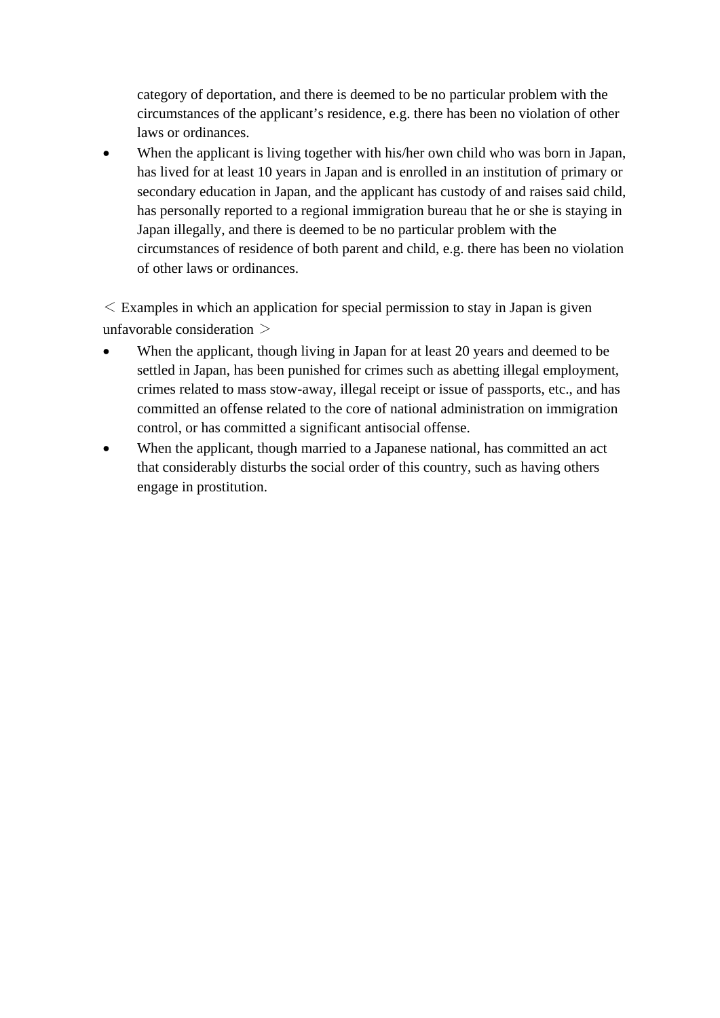category of deportation, and there is deemed to be no particular problem with the circumstances of the applicant's residence, e.g. there has been no violation of other laws or ordinances.

 When the applicant is living together with his/her own child who was born in Japan, has lived for at least 10 years in Japan and is enrolled in an institution of primary or secondary education in Japan, and the applicant has custody of and raises said child, has personally reported to a regional immigration bureau that he or she is staying in Japan illegally, and there is deemed to be no particular problem with the circumstances of residence of both parent and child, e.g. there has been no violation of other laws or ordinances.

 $\leq$  Examples in which an application for special permission to stay in Japan is given unfavorable consideration  $>$ 

- When the applicant, though living in Japan for at least 20 years and deemed to be settled in Japan, has been punished for crimes such as abetting illegal employment, crimes related to mass stow-away, illegal receipt or issue of passports, etc., and has committed an offense related to the core of national administration on immigration control, or has committed a significant antisocial offense.
- When the applicant, though married to a Japanese national, has committed an act that considerably disturbs the social order of this country, such as having others engage in prostitution.